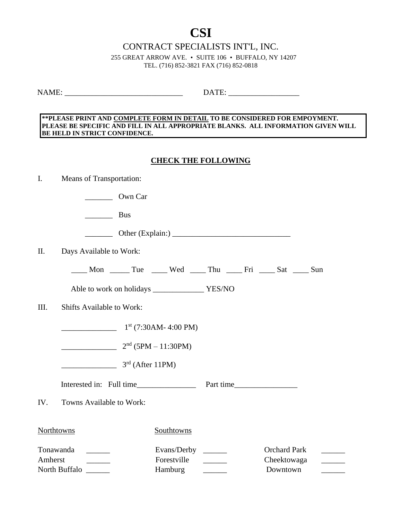# **CSI**

CONTRACT SPECIALISTS INT'L, INC.

255 GREAT ARROW AVE. • SUITE 106 • BUFFALO, NY 14207 TEL. (716) 852-3821 FAX (716) 852-0818

NAME: \_\_\_\_\_\_\_\_\_\_\_\_\_\_\_\_\_\_\_\_\_\_\_\_\_\_\_\_\_\_ DATE: \_\_\_\_\_\_\_\_\_\_\_\_\_\_\_\_\_\_

#### **\*\*PLEASE PRINT AND COMPLETE FORM IN DETAIL TO BE CONSIDERED FOR EMPOYMENT. PLEASE BE SPECIFIC AND FILL IN ALL APPROPRIATE BLANKS. ALL INFORMATION GIVEN WILL BE HELD IN STRICT CONFIDENCE.**

### **CHECK THE FOLLOWING**

| $\mathbf{I}$ .                                                                  | Means of Transportation:         |                    |                                                             |  |             |                     |  |  |
|---------------------------------------------------------------------------------|----------------------------------|--------------------|-------------------------------------------------------------|--|-------------|---------------------|--|--|
|                                                                                 |                                  | Own Car            |                                                             |  |             |                     |  |  |
|                                                                                 | $\overline{\phantom{a}}$         | <b>Bus</b>         |                                                             |  |             |                     |  |  |
|                                                                                 |                                  |                    |                                                             |  |             |                     |  |  |
| II.                                                                             | Days Available to Work:          |                    |                                                             |  |             |                     |  |  |
|                                                                                 |                                  |                    |                                                             |  |             |                     |  |  |
|                                                                                 |                                  |                    |                                                             |  |             |                     |  |  |
| III.                                                                            | <b>Shifts Available to Work:</b> |                    |                                                             |  |             |                     |  |  |
|                                                                                 | $1st$ (7:30AM-4:00 PM)           |                    |                                                             |  |             |                     |  |  |
|                                                                                 |                                  |                    | $2nd$ (5PM – 11:30PM)                                       |  |             |                     |  |  |
|                                                                                 |                                  | $3rd$ (After 11PM) |                                                             |  |             |                     |  |  |
|                                                                                 |                                  |                    |                                                             |  |             |                     |  |  |
| IV.                                                                             | Towns Available to Work:         |                    |                                                             |  |             |                     |  |  |
| Northtowns                                                                      |                                  |                    | Southtowns                                                  |  |             |                     |  |  |
| Tonawanda                                                                       |                                  |                    |                                                             |  |             | <b>Orchard Park</b> |  |  |
| Forestville<br>Amherst<br>$\frac{1}{2}$ , and $\frac{1}{2}$ , and $\frac{1}{2}$ |                                  |                    | $\mathcal{L}^{\text{max}}$ , and $\mathcal{L}^{\text{max}}$ |  | Cheektowaga |                     |  |  |
| North Buffalo<br>Hamburg                                                        |                                  |                    |                                                             |  | Downtown    |                     |  |  |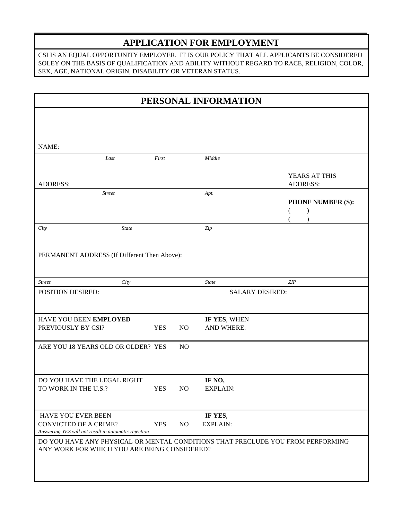## **APPLICATION FOR EMPLOYMENT**

CSI IS AN EQUAL OPPORTUNITY EMPLOYER. IT IS OUR POLICY THAT ALL APPLICANTS BE CONSIDERED SOLEY ON THE BASIS OF QUALIFICATION AND ABILITY WITHOUT REGARD TO RACE, RELIGION, COLOR, SEX, AGE, NATIONAL ORIGIN, DISABILITY OR VETERAN STATUS.

| PERSONAL INFORMATION                                                                                                     |            |                 |                                   |                                  |  |
|--------------------------------------------------------------------------------------------------------------------------|------------|-----------------|-----------------------------------|----------------------------------|--|
|                                                                                                                          |            |                 |                                   |                                  |  |
|                                                                                                                          |            |                 |                                   |                                  |  |
| NAME:                                                                                                                    |            |                 |                                   |                                  |  |
| Last                                                                                                                     | First      |                 | Middle                            |                                  |  |
| <b>ADDRESS:</b>                                                                                                          |            |                 |                                   | YEARS AT THIS<br><b>ADDRESS:</b> |  |
| <b>Street</b>                                                                                                            |            |                 | Apt.                              |                                  |  |
|                                                                                                                          |            |                 |                                   | <b>PHONE NUMBER (S):</b>         |  |
| <b>State</b><br>City                                                                                                     |            |                 | Zip                               |                                  |  |
|                                                                                                                          |            |                 |                                   |                                  |  |
| PERMANENT ADDRESS (If Different Then Above):                                                                             |            |                 |                                   |                                  |  |
| <b>Street</b><br>City                                                                                                    |            |                 | <b>State</b>                      | <b>ZIP</b>                       |  |
| POSITION DESIRED:                                                                                                        |            |                 | <b>SALARY DESIRED:</b>            |                                  |  |
|                                                                                                                          |            |                 |                                   |                                  |  |
| HAVE YOU BEEN EMPLOYED<br>PREVIOUSLY BY CSI?<br><b>YES</b>                                                               |            | NO              | IF YES, WHEN<br><b>AND WHERE:</b> |                                  |  |
| ARE YOU 18 YEARS OLD OR OLDER? YES                                                                                       |            | N <sub>O</sub>  |                                   |                                  |  |
|                                                                                                                          |            |                 |                                   |                                  |  |
| DO YOU HAVE THE LEGAL RIGHT                                                                                              |            |                 | IF NO,                            |                                  |  |
| TO WORK IN THE U.S.?                                                                                                     | <b>YES</b> | NO              | <b>EXPLAIN:</b>                   |                                  |  |
| HAVE YOU EVER BEEN<br><b>CONVICTED OF A CRIME?</b><br><b>YES</b><br>Answering YES will not result in automatic rejection |            | NO <sub>1</sub> | IF YES,<br><b>EXPLAIN:</b>        |                                  |  |
| DO YOU HAVE ANY PHYSICAL OR MENTAL CONDITIONS THAT PRECLUDE YOU FROM PERFORMING                                          |            |                 |                                   |                                  |  |
| ANY WORK FOR WHICH YOU ARE BEING CONSIDERED?                                                                             |            |                 |                                   |                                  |  |
|                                                                                                                          |            |                 |                                   |                                  |  |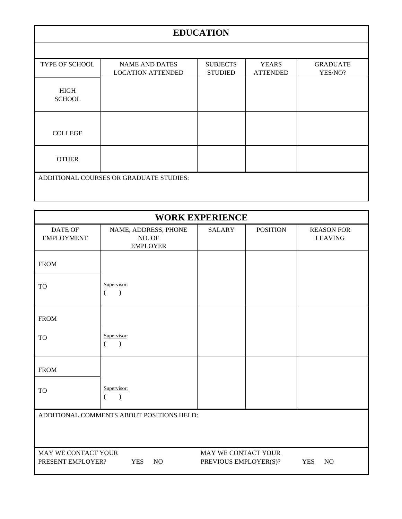# **EDUCATION**

| TYPE OF SCHOOL                          | <b>NAME AND DATES</b>    | <b>SUBJECTS</b> | <b>YEARS</b>    | <b>GRADUATE</b> |  |
|-----------------------------------------|--------------------------|-----------------|-----------------|-----------------|--|
|                                         | <b>LOCATION ATTENDED</b> | <b>STUDIED</b>  | <b>ATTENDED</b> | YES/NO?         |  |
| <b>HIGH</b><br><b>SCHOOL</b>            |                          |                 |                 |                 |  |
|                                         |                          |                 |                 |                 |  |
|                                         |                          |                 |                 |                 |  |
| <b>COLLEGE</b>                          |                          |                 |                 |                 |  |
| <b>OTHER</b>                            |                          |                 |                 |                 |  |
| ADDITIONAL COURSES OR GRADUATE STUDIES: |                          |                 |                 |                 |  |
|                                         |                          |                 |                 |                 |  |

| <b>WORK EXPERIENCE</b>                    |                                                   |                                              |                 |                                     |  |
|-------------------------------------------|---------------------------------------------------|----------------------------------------------|-----------------|-------------------------------------|--|
| <b>DATE OF</b><br><b>EMPLOYMENT</b>       | NAME, ADDRESS, PHONE<br>NO. OF<br><b>EMPLOYER</b> | <b>SALARY</b>                                | <b>POSITION</b> | <b>REASON FOR</b><br><b>LEAVING</b> |  |
| <b>FROM</b>                               |                                                   |                                              |                 |                                     |  |
| <b>TO</b>                                 | Supervisor:<br>$\lambda$                          |                                              |                 |                                     |  |
| <b>FROM</b>                               |                                                   |                                              |                 |                                     |  |
| <b>TO</b>                                 | Supervisor:<br>$\mathcal{E}$                      |                                              |                 |                                     |  |
| <b>FROM</b>                               |                                                   |                                              |                 |                                     |  |
| <b>TO</b>                                 | Supervisor:                                       |                                              |                 |                                     |  |
| ADDITIONAL COMMENTS ABOUT POSITIONS HELD: |                                                   |                                              |                 |                                     |  |
| MAY WE CONTACT YOUR<br>PRESENT EMPLOYER?  | <b>YES</b><br>N <sub>O</sub>                      | MAY WE CONTACT YOUR<br>PREVIOUS EMPLOYER(S)? |                 | <b>YES</b><br>N <sub>O</sub>        |  |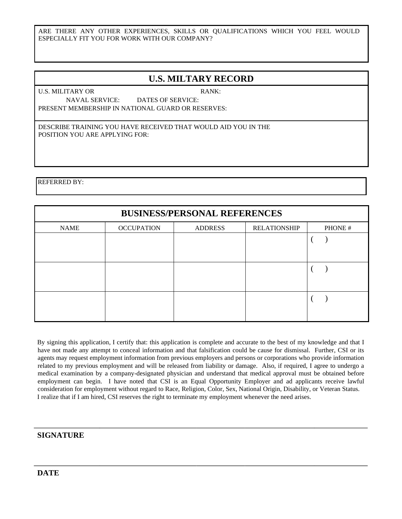ARE THERE ANY OTHER EXPERIENCES, SKILLS OR QUALIFICATIONS WHICH YOU FEEL WOULD ESPECIALLY FIT YOU FOR WORK WITH OUR COMPANY?

### **U.S. MILTARY RECORD**

U.S. MILITARY OR RANK: NAVAL SERVICE: DATES OF SERVICE: PRESENT MEMBERSHIP IN NATIONAL GUARD OR RESERVES:

DESCRIBE TRAINING YOU HAVE RECEIVED THAT WOULD AID YOU IN THE POSITION YOU ARE APPLYING FOR:

REFERRED BY:

| <b>BUSINESS/PERSONAL REFERENCES</b> |                   |                |                     |         |  |  |
|-------------------------------------|-------------------|----------------|---------------------|---------|--|--|
| <b>NAME</b>                         | <b>OCCUPATION</b> | <b>ADDRESS</b> | <b>RELATIONSHIP</b> | PHONE # |  |  |
|                                     |                   |                |                     |         |  |  |
|                                     |                   |                |                     |         |  |  |
|                                     |                   |                |                     |         |  |  |
|                                     |                   |                |                     |         |  |  |
|                                     |                   |                |                     |         |  |  |
|                                     |                   |                |                     |         |  |  |

By signing this application, I certify that: this application is complete and accurate to the best of my knowledge and that I have not made any attempt to conceal information and that falsification could be cause for dismissal. Further, CSI or its agents may request employment information from previous employers and persons or corporations who provide information related to my previous employment and will be released from liability or damage. Also, if required, I agree to undergo a medical examination by a company-designated physician and understand that medical approval must be obtained before employment can begin. I have noted that CSI is an Equal Opportunity Employer and ad applicants receive lawful consideration for employment without regard to Race, Religion, Color, Sex, National Origin, Disability, or Veteran Status. I realize that if I am hired, CSI reserves the right to terminate my employment whenever the need arises.

#### **SIGNATURE**